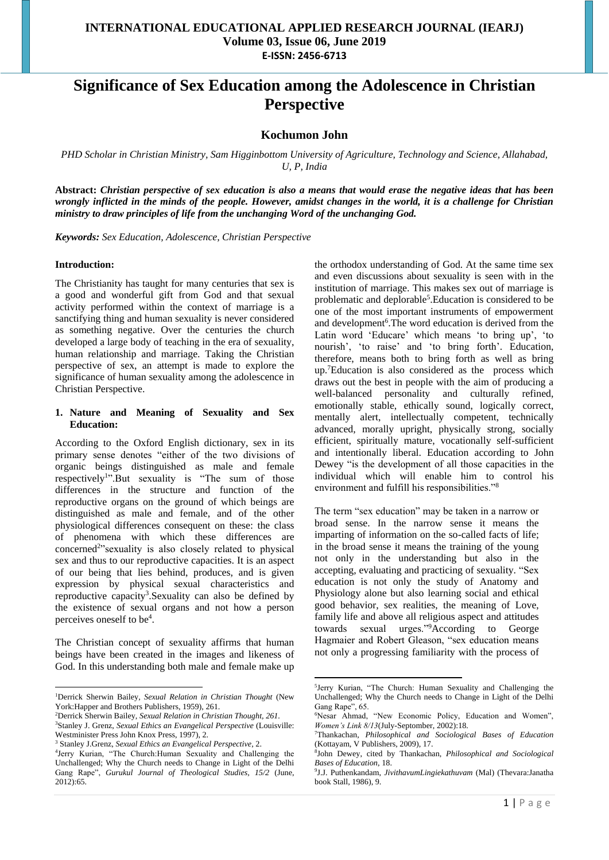# **Significance of Sex Education among the Adolescence in Christian Perspective**

## **Kochumon John**

*PHD Scholar in Christian Ministry, Sam Higginbottom University of Agriculture, Technology and Science, Allahabad, U, P, India*

**Abstract:** *Christian perspective of sex education is also a means that would erase the negative ideas that has been wrongly inflicted in the minds of the people. However, amidst changes in the world, it is a challenge for Christian ministry to draw principles of life from the unchanging Word of the unchanging God.*

**.** 

*Keywords: Sex Education, Adolescence, Christian Perspective*

#### **Introduction:**

1

The Christianity has taught for many centuries that sex is a good and wonderful gift from God and that sexual activity performed within the context of marriage is a sanctifying thing and human sexuality is never considered as something negative. Over the centuries the church developed a large body of teaching in the era of sexuality, human relationship and marriage. Taking the Christian perspective of sex, an attempt is made to explore the significance of human sexuality among the adolescence in Christian Perspective.

#### **1. Nature and Meaning of Sexuality and Sex Education:**

According to the Oxford English dictionary, sex in its primary sense denotes "either of the two divisions of organic beings distinguished as male and female respectively<sup>1</sup>".But sexuality is "The sum of those differences in the structure and function of the reproductive organs on the ground of which beings are distinguished as male and female, and of the other physiological differences consequent on these: the class of phenomena with which these differences are concerned<sup>2</sup>"sexuality is also closely related to physical sex and thus to our reproductive capacities. It is an aspect of our being that lies behind, produces, and is given expression by physical sexual characteristics and reproductive capacity<sup>3</sup>. Sexuality can also be defined by the existence of sexual organs and not how a person perceives oneself to be<sup>4</sup> .

The Christian concept of sexuality affirms that human beings have been created in the images and likeness of God. In this understanding both male and female make up

the orthodox understanding of God. At the same time sex and even discussions about sexuality is seen with in the institution of marriage. This makes sex out of marriage is problematic and deplorable<sup>5</sup>. Education is considered to be one of the most important instruments of empowerment and development<sup>6</sup>. The word education is derived from the Latin word 'Educare' which means 'to bring up', 'to nourish', 'to raise' and 'to bring forth'. Education, therefore, means both to bring forth as well as bring up.<sup>7</sup>Education is also considered as the process which draws out the best in people with the aim of producing a well-balanced personality and culturally refined, emotionally stable, ethically sound, logically correct, mentally alert, intellectually competent, technically advanced, morally upright, physically strong, socially efficient, spiritually mature, vocationally self-sufficient and intentionally liberal. Education according to John Dewey "is the development of all those capacities in the individual which will enable him to control his environment and fulfill his responsibilities."<sup>8</sup>

The term "sex education" may be taken in a narrow or broad sense. In the narrow sense it means the imparting of information on the so-called facts of life; in the broad sense it means the training of the young not only in the understanding but also in the accepting, evaluating and practicing of sexuality. "Sex education is not only the study of Anatomy and Physiology alone but also learning social and ethical good behavior, sex realities, the meaning of Love, family life and above all religious aspect and attitudes towards sexual urges."<sup>9</sup>According to George Hagmaier and Robert Gleason, "sex education means not only a progressing familiarity with the process of

<sup>1</sup>Derrick Sherwin Bailey, *Sexual Relation in Christian Thought* (New York:Happer and Brothers Publishers, 1959), 261.

<sup>2</sup>Derrick Sherwin Bailey, *Sexual Relation in Christian Thought, 261.* <sup>3</sup>Stanley J. Grenz, *Sexual Ethics an Evangelical Perspective* (Louisville: Westminister Press John Knox Press, 1997), 2.

<sup>3</sup> Stanley J.Grenz, *Sexual Ethics an Evangelical Perspective*, 2.

<sup>4</sup> Jerry Kurian, "The Church:Human Sexuality and Challenging the Unchallenged; Why the Church needs to Change in Light of the Delhi Gang Rape", *Gurukul Journal of Theological Studies, 15/2* (June, 2012):65.

<sup>5</sup> Jerry Kurian, "The Church: Human Sexuality and Challenging the Unchallenged; Why the Church needs to Change in Light of the Delhi Gang Rape", 65.

<sup>6</sup>Nesar Ahmad, "New Economic Policy, Education and Women", *Women's Link 8/13*(July-Septomber, 2002):18.

<sup>7</sup>Thankachan, *Philosophical and Sociological Bases of Education* (Kottayam, V Publishers, 2009), 17.

<sup>8</sup> John Dewey, cited by Thankachan, *Philosophical and Sociological Bases of Education*, 18.

<sup>9</sup> J.J. Puthenkandam, *JivithavumLingiekathuvam* (Mal) (Thevara:Janatha book Stall, 1986), 9.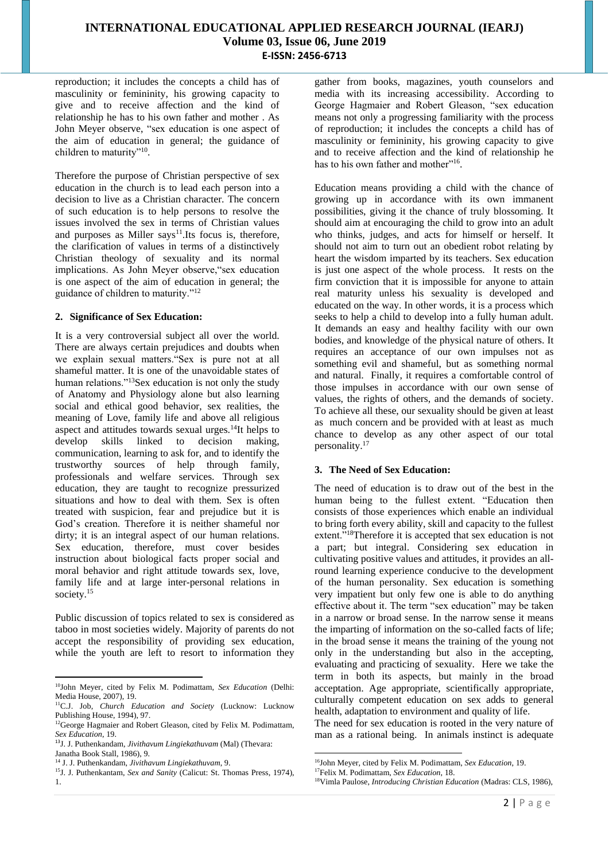reproduction; it includes the concepts a child has of masculinity or femininity, his growing capacity to give and to receive affection and the kind of relationship he has to his own father and mother . As John Meyer observe, "sex education is one aspect of the aim of education in general; the guidance of children to maturity"<sup>10</sup>.

Therefore the purpose of Christian perspective of sex education in the church is to lead each person into a decision to live as a Christian character. The concern of such education is to help persons to resolve the issues involved the sex in terms of Christian values and purposes as Miller says $11$ . Its focus is, therefore, the clarification of values in terms of a distinctively Christian theology of sexuality and its normal implications. As John Meyer observe,"sex education is one aspect of the aim of education in general; the guidance of children to maturity."<sup>12</sup>

#### **2. Significance of Sex Education:**

It is a very controversial subject all over the world. There are always certain prejudices and doubts when we explain sexual matters."Sex is pure not at all shameful matter. It is one of the unavoidable states of human relations."<sup>13</sup>Sex education is not only the study of Anatomy and Physiology alone but also learning social and ethical good behavior, sex realities, the meaning of Love, family life and above all religious aspect and attitudes towards sexual urges.<sup>14</sup>It helps to develop skills linked to decision making, communication, learning to ask for, and to identify the trustworthy sources of help through family, professionals and welfare services. Through sex education, they are taught to recognize pressurized situations and how to deal with them. Sex is often treated with suspicion, fear and prejudice but it is God's creation. Therefore it is neither shameful nor dirty; it is an integral aspect of our human relations. Sex education, therefore, must cover besides instruction about biological facts proper social and moral behavior and right attitude towards sex, love, family life and at large inter-personal relations in society.<sup>15</sup>

Public discussion of topics related to sex is considered as taboo in most societies widely. Majority of parents do not accept the responsibility of providing sex education, while the youth are left to resort to information they

gather from books, magazines, youth counselors and media with its increasing accessibility. According to George Hagmaier and Robert Gleason, "sex education means not only a progressing familiarity with the process of reproduction; it includes the concepts a child has of masculinity or femininity, his growing capacity to give and to receive affection and the kind of relationship he has to his own father and mother"<sup>16</sup>.

Education means providing a child with the chance of growing up in accordance with its own immanent possibilities, giving it the chance of truly blossoming. It should aim at encouraging the child to grow into an adult who thinks, judges, and acts for himself or herself. It should not aim to turn out an obedient robot relating by heart the wisdom imparted by its teachers. Sex education is just one aspect of the whole process. It rests on the firm conviction that it is impossible for anyone to attain real maturity unless his sexuality is developed and educated on the way. In other words, it is a process which seeks to help a child to develop into a fully human adult. It demands an easy and healthy facility with our own bodies, and knowledge of the physical nature of others. It requires an acceptance of our own impulses not as something evil and shameful, but as something normal and natural. Finally, it requires a comfortable control of those impulses in accordance with our own sense of values, the rights of others, and the demands of society. To achieve all these, our sexuality should be given at least as much concern and be provided with at least as much chance to develop as any other aspect of our total personality.<sup>17</sup>

### **3. The Need of Sex Education:**

The need of education is to draw out of the best in the human being to the fullest extent. "Education then consists of those experiences which enable an individual to bring forth every ability, skill and capacity to the fullest extent."<sup>18</sup>Therefore it is accepted that sex education is not a part; but integral. Considering sex education in cultivating positive values and attitudes, it provides an allround learning experience conducive to the development of the human personality. Sex education is something very impatient but only few one is able to do anything effective about it. The term "sex education" may be taken in a narrow or broad sense. In the narrow sense it means the imparting of information on the so-called facts of life; in the broad sense it means the training of the young not only in the understanding but also in the accepting, evaluating and practicing of sexuality. Here we take the term in both its aspects, but mainly in the broad acceptation. Age appropriate, scientifically appropriate, culturally competent education on sex adds to general health, adaptation to environment and quality of life.

The need for sex education is rooted in the very nature of man as a rational being. In animals instinct is adequate

<sup>1</sup> <sup>10</sup>John Meyer, cited by Felix M. Podimattam, *Sex Education* (Delhi: Media House, 2007), 19.

<sup>11</sup>C.J. Job, *Church Education and Society* (Lucknow: Lucknow Publishing House, 1994), 97.

<sup>&</sup>lt;sup>12</sup>George Hagmaier and Robert Gleason, cited by Felix M. Podimattam, *Sex Education*, 19.

<sup>13</sup>J. J. Puthenkandam, *Jivithavum Lingiekathuvam* (Mal) (Thevara: Janatha Book Stall, 1986), 9.

<sup>14</sup> J. J. Puthenkandam, *Jivithavum Lingiekathuvam*, 9.

<sup>&</sup>lt;sup>15</sup>J. J. Puthenkantam, *Sex and Sanity* (Calicut: St. Thomas Press, 1974), 1.

**<sup>.</sup>** <sup>16</sup>John Meyer, cited by Felix M. Podimattam, *Sex Education*, 19.

<sup>17</sup>Felix M. Podimattam, *Sex Education*, 18.

<sup>18</sup>Vimla Paulose, *Introducing Christian Education* (Madras: CLS, 1986),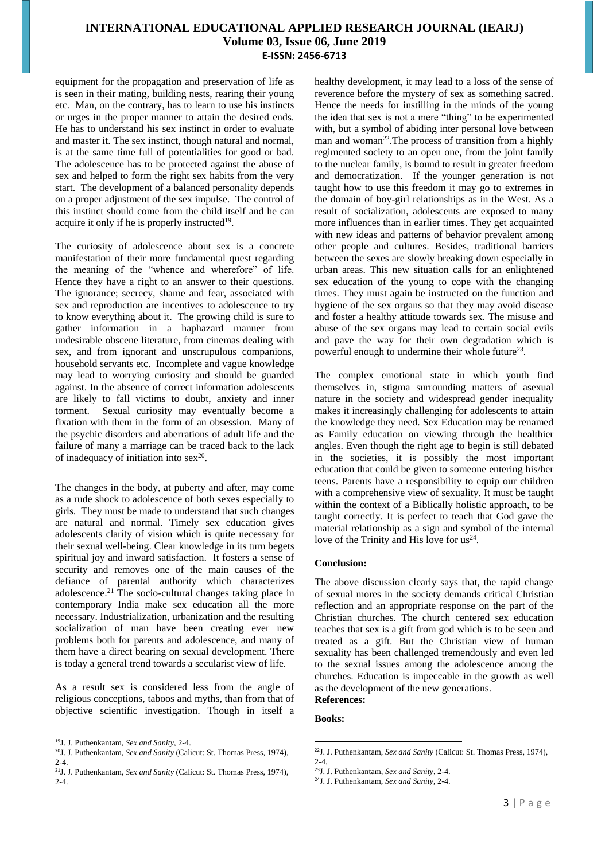equipment for the propagation and preservation of life as is seen in their mating, building nests, rearing their young etc. Man, on the contrary, has to learn to use his instincts or urges in the proper manner to attain the desired ends. He has to understand his sex instinct in order to evaluate and master it. The sex instinct, though natural and normal, is at the same time full of potentialities for good or bad. The adolescence has to be protected against the abuse of sex and helped to form the right sex habits from the very start. The development of a balanced personality depends on a proper adjustment of the sex impulse. The control of this instinct should come from the child itself and he can acquire it only if he is properly instructed<sup>19</sup>.

The curiosity of adolescence about sex is a concrete manifestation of their more fundamental quest regarding the meaning of the "whence and wherefore" of life. Hence they have a right to an answer to their questions. The ignorance; secrecy, shame and fear, associated with sex and reproduction are incentives to adolescence to try to know everything about it. The growing child is sure to gather information in a haphazard manner from undesirable obscene literature, from cinemas dealing with sex, and from ignorant and unscrupulous companions, household servants etc. Incomplete and vague knowledge may lead to worrying curiosity and should be guarded against. In the absence of correct information adolescents are likely to fall victims to doubt, anxiety and inner torment. Sexual curiosity may eventually become a fixation with them in the form of an obsession. Many of the psychic disorders and aberrations of adult life and the failure of many a marriage can be traced back to the lack of inadequacy of initiation into  $sex^{20}$ .

The changes in the body, at puberty and after, may come as a rude shock to adolescence of both sexes especially to girls. They must be made to understand that such changes are natural and normal. Timely sex education gives adolescents clarity of vision which is quite necessary for their sexual well-being. Clear knowledge in its turn begets spiritual joy and inward satisfaction. It fosters a sense of security and removes one of the main causes of the defiance of parental authority which characterizes adolescence.<sup>21</sup> The socio-cultural changes taking place in contemporary India make sex education all the more necessary. Industrialization, urbanization and the resulting socialization of man have been creating ever new problems both for parents and adolescence, and many of them have a direct bearing on sexual development. There is today a general trend towards a secularist view of life.

As a result sex is considered less from the angle of religious conceptions, taboos and myths, than from that of objective scientific investigation. Though in itself a

**.** 

healthy development, it may lead to a loss of the sense of reverence before the mystery of sex as something sacred. Hence the needs for instilling in the minds of the young the idea that sex is not a mere "thing" to be experimented with, but a symbol of abiding inter personal love between man and woman<sup>22</sup>. The process of transition from a highly regimented society to an open one, from the joint family to the nuclear family, is bound to result in greater freedom and democratization. If the younger generation is not taught how to use this freedom it may go to extremes in the domain of boy-girl relationships as in the West. As a result of socialization, adolescents are exposed to many more influences than in earlier times. They get acquainted with new ideas and patterns of behavior prevalent among other people and cultures. Besides, traditional barriers between the sexes are slowly breaking down especially in urban areas. This new situation calls for an enlightened sex education of the young to cope with the changing times. They must again be instructed on the function and hygiene of the sex organs so that they may avoid disease and foster a healthy attitude towards sex. The misuse and abuse of the sex organs may lead to certain social evils and pave the way for their own degradation which is powerful enough to undermine their whole future<sup>23</sup>.

The complex emotional state in which youth find themselves in, stigma surrounding matters of asexual nature in the society and widespread gender inequality makes it increasingly challenging for adolescents to attain the knowledge they need. Sex Education may be renamed as Family education on viewing through the healthier angles. Even though the right age to begin is still debated in the societies, it is possibly the most important education that could be given to someone entering his/her teens. Parents have a responsibility to equip our children with a comprehensive view of sexuality. It must be taught within the context of a Biblically holistic approach, to be taught correctly. It is perfect to teach that God gave the material relationship as a sign and symbol of the internal love of the Trinity and His love for  $us^{24}$ .

#### **Conclusion:**

The above discussion clearly says that, the rapid change of sexual mores in the society demands critical Christian reflection and an appropriate response on the part of the Christian churches. The church centered sex education teaches that sex is a gift from god which is to be seen and treated as a gift. But the Christian view of human sexuality has been challenged tremendously and even led to the sexual issues among the adolescence among the churches. Education is impeccable in the growth as well as the development of the new generations. **References:**

#### **Books:**

<sup>19</sup>J. J. Puthenkantam, *Sex and Sanity*, 2-4.

<sup>20</sup>J. J. Puthenkantam, *Sex and Sanity* (Calicut: St. Thomas Press, 1974), 2-4.

<sup>21</sup>J. J. Puthenkantam, *Sex and Sanity* (Calicut: St. Thomas Press, 1974), 2-4.

**<sup>.</sup>** <sup>22</sup>J. J. Puthenkantam, *Sex and Sanity* (Calicut: St. Thomas Press, 1974),  $2 - 4$ .

<sup>23</sup>J. J. Puthenkantam, *Sex and Sanity*, 2-4.

<sup>24</sup>J. J. Puthenkantam, *Sex and Sanity*, 2-4.